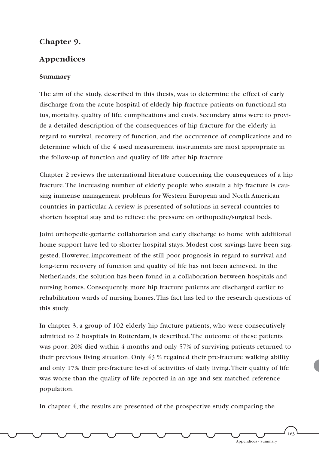## **Chapter 9.**

## **Appendices**

## **Summary**

The aim of the study, described in this thesis, was to determine the effect of early discharge from the acute hospital of elderly hip fracture patients on functional status, mortality, quality of life, complications and costs. Secondary aims were to provide a detailed description of the consequences of hip fracture for the elderly in regard to survival, recovery of function, and the occurrence of complications and to determine which of the 4 used measurement instruments are most appropriate in the follow-up of function and quality of life after hip fracture.

Chapter 2 reviews the international literature concerning the consequences of a hip fracture.The increasing number of elderly people who sustain a hip fracture is causing immense management problems for Western European and North American countries in particular.A review is presented of solutions in several countries to shorten hospital stay and to relieve the pressure on orthopedic/surgical beds.

Joint orthopedic-geriatric collaboration and early discharge to home with additional home support have led to shorter hospital stays. Modest cost savings have been suggested. However, improvement of the still poor prognosis in regard to survival and long-term recovery of function and quality of life has not been achieved. In the Netherlands, the solution has been found in a collaboration between hospitals and nursing homes. Consequently, more hip fracture patients are discharged earlier to rehabilitation wards of nursing homes.This fact has led to the research questions of this study.

In chapter 3, a group of 102 elderly hip fracture patients, who were consecutively admitted to 2 hospitals in Rotterdam, is described.The outcome of these patients was poor: 20% died within 4 months and only 57% of surviving patients returned to their previous living situation. Only 43 % regained their pre-fracture walking ability and only 17% their pre-fracture level of activities of daily living.Their quality of life was worse than the quality of life reported in an age and sex matched reference population.

In chapter 4, the results are presented of the prospective study comparing the

163

Appendices - Summary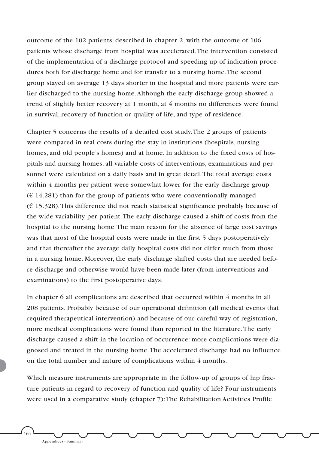outcome of the 102 patients, described in chapter 2, with the outcome of 106 patients whose discharge from hospital was accelerated.The intervention consisted of the implementation of a discharge protocol and speeding up of indication procedures both for discharge home and for transfer to a nursing home.The second group stayed on average 13 days shorter in the hospital and more patients were earlier discharged to the nursing home.Although the early discharge group showed a trend of slightly better recovery at 1 month, at 4 months no differences were found in survival, recovery of function or quality of life, and type of residence.

Chapter 5 concerns the results of a detailed cost study.The 2 groups of patients were compared in real costs during the stay in institutions (hospitals, nursing homes, and old people's homes) and at home. In addition to the fixed costs of hospitals and nursing homes, all variable costs of interventions, examinations and personnel were calculated on a daily basis and in great detail.The total average costs within 4 months per patient were somewhat lower for the early discharge group  $(E 14.281)$  than for the group of patients who were conventionally managed  $(E\ 15.328)$ . This difference did not reach statistical significance probably because of the wide variability per patient.The early discharge caused a shift of costs from the hospital to the nursing home.The main reason for the absence of large cost savings was that most of the hospital costs were made in the first 5 days postoperatively and that thereafter the average daily hospital costs did not differ much from those in a nursing home. Moreover, the early discharge shifted costs that are needed before discharge and otherwise would have been made later (from interventions and examinations) to the first postoperative days.

In chapter 6 all complications are described that occurred within 4 months in all 208 patients. Probably because of our operational definition (all medical events that required therapeutical intervention) and because of our careful way of registration, more medical complications were found than reported in the literature.The early discharge caused a shift in the location of occurrence: more complications were diagnosed and treated in the nursing home.The accelerated discharge had no influence on the total number and nature of complications within 4 months.

Which measure instruments are appropriate in the follow-up of groups of hip fracture patients in regard to recovery of function and quality of life? Four instruments were used in a comparative study (chapter 7):The Rehabilitation Activities Profile

<sup>1</sup>64

Appendices - Summary